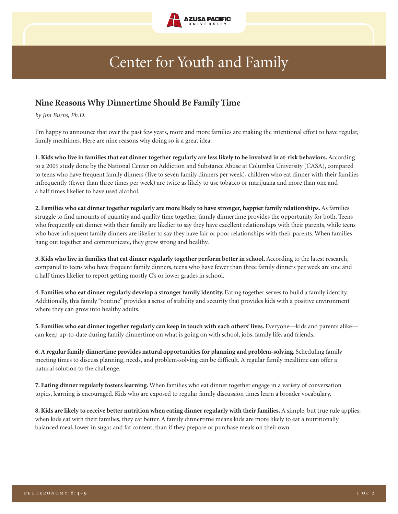

## Center for Youth and Family

## **Nine Reasons Why Dinnertime Should Be Family Time**

*by Jim Burns, Ph.D.*

I'm happy to announce that over the past few years, more and more families are making the intentional effort to have regular, family mealtimes. Here are nine reasons why doing so is a great idea:

1. Kids who live in families that eat dinner together regularly are less likely to be involved in at-risk behaviors. According to a 2009 study done by the National Center on Addiction and Substance Abuse at Columbia University (CASA), compared to teens who have frequent family dinners (five to seven family dinners per week), children who eat dinner with their families infrequently (fewer than three times per week) are twice as likely to use tobacco or marijuana and more than one and a half times likelier to have used alcohol.

**2. Families who eat dinnertogetherregularly are more likely to have stronger, happierfamily relationships.** As families struggle to find amounts of quantity and quality time together, family dinnertime provides the opportunity for both. Teens who frequently eat dinner with their family are likelier to say they have excellent relationships with their parents, while teens who have infrequent family dinners are likelier to say they have fair or poor relationships with their parents. When families hang out together and communicate, they grow strong and healthy.

**3.Kids who live in families that eat dinnerregularly together perform betterin school.** According to the latest research, compared to teens who have frequent family dinners, teens who have fewer than three family dinners per week are one and a half times likelier to report getting mostly C's or lower grades in school.

**4. Families who eat dinnerregularly develop a strongerfamily identity.** Eating together serves to build a family identity. Additionally, this family "routine" provides a sense of stability and security that provides kids with a positive environment where they can grow into healthy adults.

**5. Families who eat dinnertogetherregularly can keep in touch with each others' lives.** Everyone—kids and parents alike can keep up-to-date during family dinnertime on what is going on with school, jobs, family life, and friends.

**6.A regularfamily dinnertime provides natural opportunities for planning and problem-solving.** Scheduling family meeting times to discuss planning, needs, and problem-solving can be difficult. A regular family mealtime can offer a natural solution to the challenge.

**7. Eating dinnerregularly fosters learning.** When families who eat dinner together engage in a variety of conversation topics, learning is encouraged. Kids who are exposed to regular family discussion times learn a broader vocabulary.

**8.Kids are likely to receive better nutrition when eating dinnerregularly with theirfamilies.** A simple, but true rule applies: when kids eat with their families, they eat better. A family dinnertime means kids are more likely to eat a nutritionally balanced meal, lower in sugar and fat content, than if they prepare or purchase meals on their own.